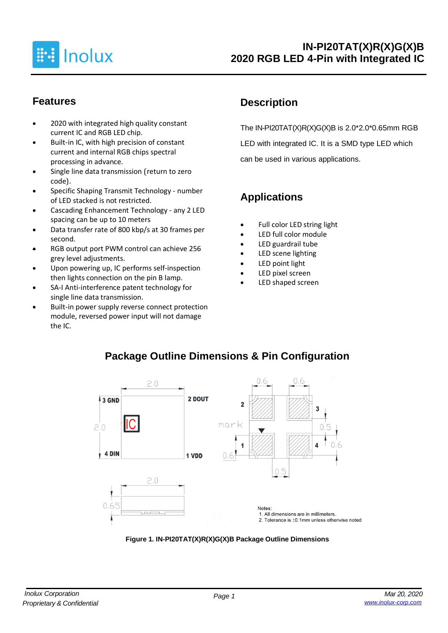

### **Features**

- 2020 with integrated high quality constant current IC and RGB LED chip.
- Built-in IC, with high precision of constant current and internal RGB chips spectral processing in advance.
- Single line data transmission (return to zero code).
- Specific Shaping Transmit Technology number of LED stacked is not restricted.
- Cascading Enhancement Technology any 2 LED spacing can be up to 10 meters
- Data transfer rate of 800 kbp/s at 30 frames per second.
- RGB output port PWM control can achieve 256 grey level adjustments.
- Upon powering up, IC performs self-inspection then lights connection on the pin B lamp.
- SA-I Anti-interference patent technology for single line data transmission.
- Built-in power supply reverse connect protection module, reversed power input will not damage the IC.

# **Description**

The IN-PI20TAT(X)R(X)G(X)B is 2.0\*2.0\*0.65mm RGB LED with integrated IC. It is a SMD type LED which can be used in various applications.

# **Applications**

- Full color LED string light
- LED full color module
- LED guardrail tube
- LED scene lighting
- LED point light
- LED pixel screen
- LED shaped screen



**Package Outline Dimensions & Pin Configuration**

### **Figure 1. IN-PI20TAT(X)R(X)G(X)B Package Outline Dimensions**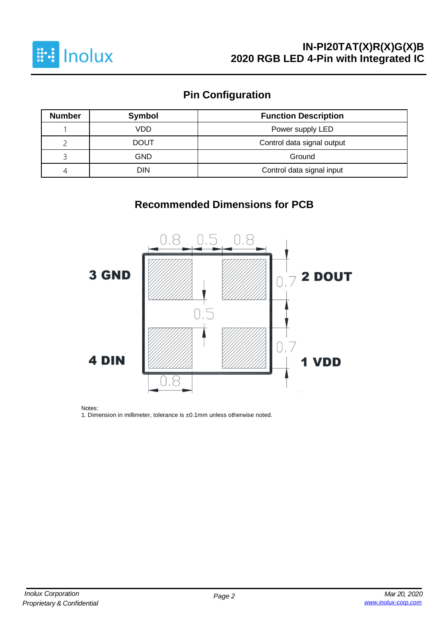

# **Pin Configuration**

| <b>Number</b>                    | <b>Symbol</b>                             | <b>Function Description</b> |  |  |  |  |  |
|----------------------------------|-------------------------------------------|-----------------------------|--|--|--|--|--|
|                                  | VDD<br>Power supply LED                   |                             |  |  |  |  |  |
|                                  | Control data signal output<br><b>DOUT</b> |                             |  |  |  |  |  |
|                                  | GND<br>Ground                             |                             |  |  |  |  |  |
| DIN<br>Control data signal input |                                           |                             |  |  |  |  |  |

## **Recommended Dimensions for PCB**



Notes:

1. Dimension in millimeter, tolerance is ±0.1mm unless otherwise noted.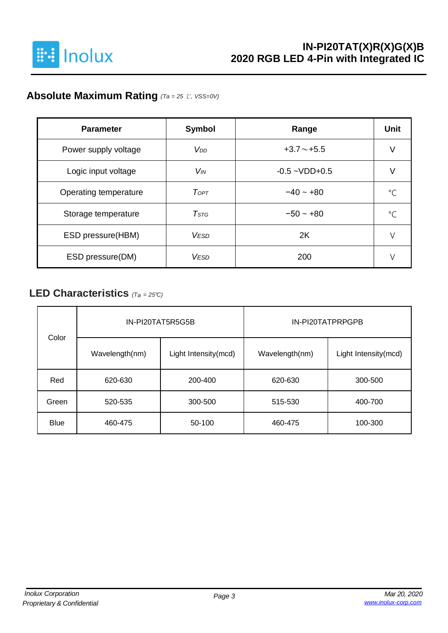

# **Absolute Maximum Rating** *(Ta = 25* ℃*, VSS=0V)*

| <b>Parameter</b>      | <b>Symbol</b>         | Range              | <b>Unit</b> |
|-----------------------|-----------------------|--------------------|-------------|
| Power supply voltage  | V <sub>DD</sub>       | $+3.7 \sim +5.5$   | V           |
| Logic input voltage   | <b>V<sub>IN</sub></b> | $-0.5 - VDD + 0.5$ |             |
| Operating temperature | ToPT                  | $-40 - +80$        | $^{\circ}C$ |
| Storage temperature   | $T$ stg               | $-50 - +80$        | $\circ$     |
| ESD pressure (HBM)    | <b>VESD</b>           | 2K                 |             |
| ESD pressure(DM)      | <b>VESD</b>           | 200                |             |

### **LED Characteristics** *(Ta <sup>=</sup> 25°C)*

| Color       |                | IN-PI20TAT5R5G5B     | IN-PI20TATPRPGPB   |                      |  |  |  |
|-------------|----------------|----------------------|--------------------|----------------------|--|--|--|
|             | Wavelength(nm) | Light Intensity(mcd) | Wavelength(nm)     | Light Intensity(mcd) |  |  |  |
| Red         | 620-630        | 200-400              | 620-630<br>300-500 |                      |  |  |  |
| Green       | 520-535        | 300-500              | 515-530            | 400-700              |  |  |  |
| <b>Blue</b> | 460-475        | 50-100               | 460-475            | 100-300              |  |  |  |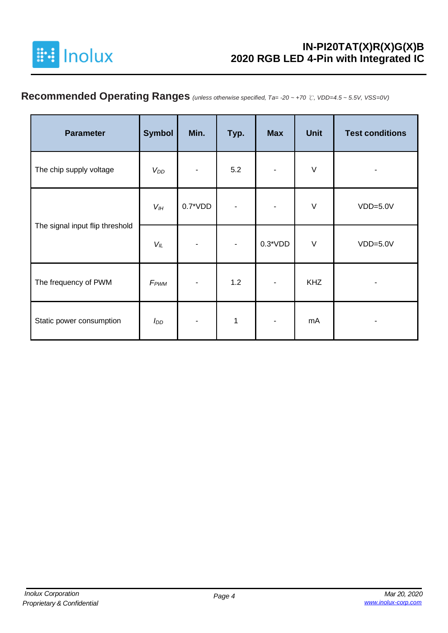

# **Recommended Operating Ranges** *(unless otherwise specified, Ta= -20 ~ +70* ℃*, VDD=4.5 ~ 5.5V, VSS=0V)*

| <b>Parameter</b>                | <b>Symbol</b>    | Min.       | Typ. | <b>Max</b> | <b>Unit</b> | <b>Test conditions</b> |
|---------------------------------|------------------|------------|------|------------|-------------|------------------------|
| The chip supply voltage         | $V_{DD}$         |            | 5.2  |            | $\vee$      | -                      |
|                                 | $V_{I\!H}$       | $0.7^*VDD$ |      |            | $\vee$      | $VDD=5.0V$             |
| The signal input flip threshold | $V_{IL}$         |            |      | $0.3*VDD$  | $\vee$      | $VDD=5.0V$             |
| The frequency of PWM            | F <sub>PWM</sub> |            | 1.2  |            | <b>KHZ</b>  |                        |
| Static power consumption        | $I_{DD}$         |            | 1    |            | mA          |                        |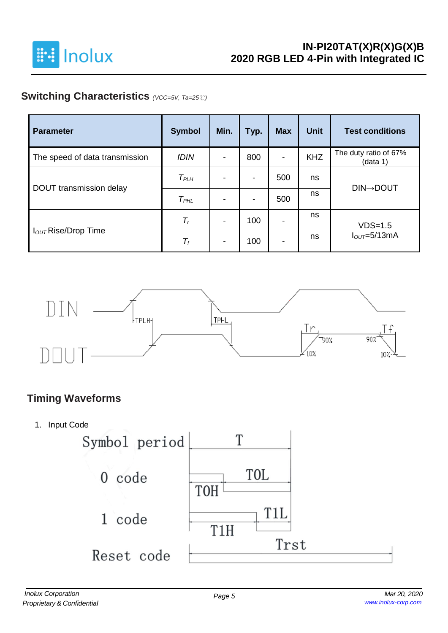

# **Switching Characteristics** *(VCC=5V, Ta=25*℃*)*

| <b>Parameter</b>                | <b>Symbol</b>    | Min.                     | Typ. | <b>Max</b>               | <b>Unit</b> | <b>Test conditions</b>            |
|---------------------------------|------------------|--------------------------|------|--------------------------|-------------|-----------------------------------|
| The speed of data transmission  | fDIN             | $\overline{\phantom{a}}$ | 800  | $\overline{\phantom{a}}$ | <b>KHZ</b>  | The duty ratio of 67%<br>(data 1) |
|                                 | $T_{PLH}$        | $\blacksquare$           | ۰    | 500                      | ns          |                                   |
| DOUT transmission delay         | T <sub>PHL</sub> | $\overline{\phantom{a}}$ | ٠    | 500                      | ns          | <b>DIN→DOUT</b>                   |
|                                 | $T_r$            | $\blacksquare$           | 100  | $\overline{\phantom{a}}$ | ns          | $VDS=1.5$                         |
| I <sub>OUT</sub> Rise/Drop Time | $T_f$            | $\blacksquare$           | 100  | $\overline{\phantom{0}}$ | ns          | $IOUT=5/13mA$                     |



## **Timing Waveforms**

1. Input Code

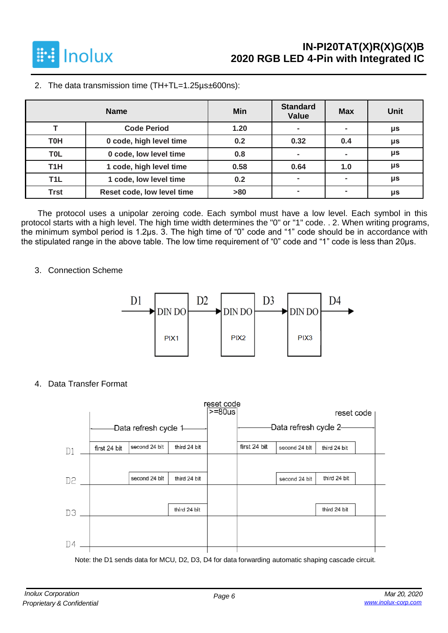

2. The data transmission time (TH+TL=1.25µs±600ns):

|                  | <b>Name</b>                | <b>Min</b> | <b>Standard</b><br>Value | <b>Max</b>     | <b>Unit</b> |
|------------------|----------------------------|------------|--------------------------|----------------|-------------|
|                  | <b>Code Period</b>         | 1.20       | $\overline{\phantom{0}}$ | $\blacksquare$ | μs          |
| <b>T0H</b>       | 0 code, high level time    | 0.2        | 0.32                     | 0.4            | μs          |
| T <sub>0</sub> L | 0 code, low level time     | 0.8        | $\blacksquare$           |                | μs          |
| T <sub>1</sub> H | 1 code, high level time    | 0.58       | 0.64                     | 1.0            | μs          |
| T <sub>1</sub> L | 1 code, low level time     | 0.2        | $\overline{\phantom{0}}$ | $\blacksquare$ | μs          |
| <b>Trst</b>      | Reset code, low level time | >80        |                          |                | μs          |

The protocol uses a unipolar zeroing code. Each symbol must have a low level. Each symbol in this protocol starts with a high level. The high time width determines the "0" or "1" code. . 2. When writing programs, the minimum symbol period is 1.2μs. 3. The high time of "0" code and "1" code should be in accordance with the stipulated range in the above table. The low time requirement of "0" code and "1" code is less than 20μs.

### 3. Connection Scheme



4. Data Transfer Format



Note: the D1 sends data for MCU, D2, D3, D4 for data forwarding automatic shaping cascade circuit.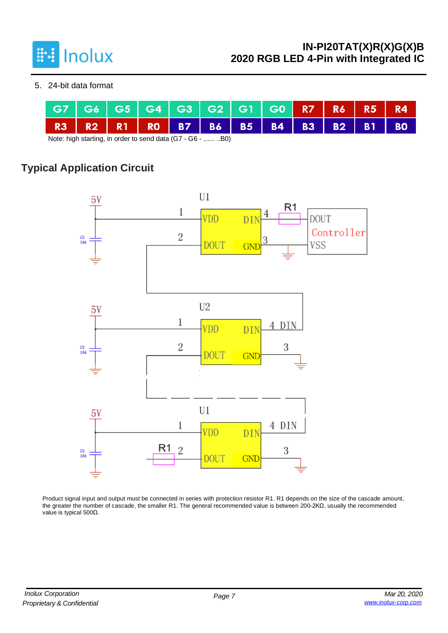

5. 24-bit data format

|  |  |                                     |  | G7   G6   G5   G4   G3   G2   G1   G0 <mark>  R7   R6   R5   R4</mark> |  |  |  |
|--|--|-------------------------------------|--|------------------------------------------------------------------------|--|--|--|
|  |  | R3 R2 R1 R0 B7 B6 B5 B4 B3 B2 B1 B0 |  |                                                                        |  |  |  |

Note: high starting, in order to send data (G7 - G6 - ...... ..B0)

# **Typical Application Circuit**



Product signal input and output must be connected in series with protection resistor R1. R1 depends on the size of the cascade amount. the greater the number of cascade, the smaller R1. The general recommended value is between 200-2KΩ, usually the recommended value is typical 500Ω.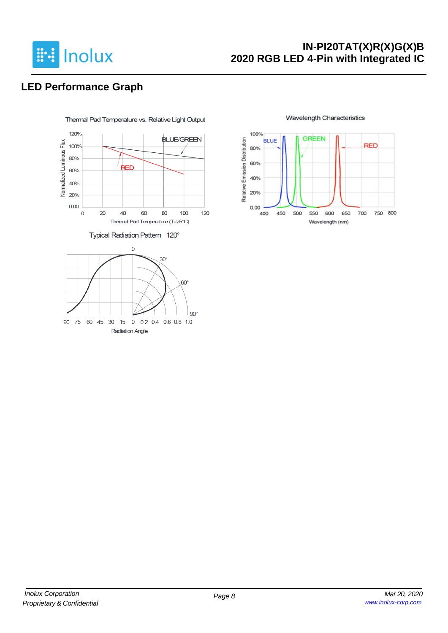

## **IN-PI20TAT(X)R(X)G(X)B 2020 RGB LED 4-Pin with Integrated IC**

# **LED Performance Graph**



#### **Wavelength Characteristics**

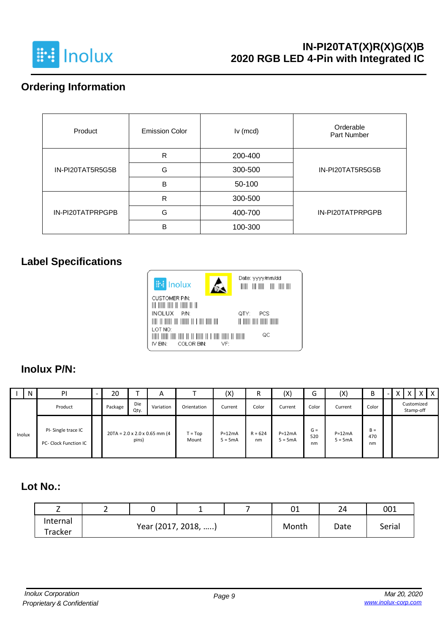

## **IN-PI20TAT(X)R(X)G(X)B 2020 RGB LED 4-Pin with Integrated IC**

## **Ordering Information**

| Product          | <b>Emission Color</b> | Iv (mcd) | Orderable<br>Part Number |  |  |
|------------------|-----------------------|----------|--------------------------|--|--|
|                  | R                     | 200-400  |                          |  |  |
| IN-PI20TAT5R5G5B | G                     | 300-500  | IN-PI20TAT5R5G5B         |  |  |
|                  | B                     | 50-100   |                          |  |  |
|                  | R                     | 300-500  |                          |  |  |
| IN-PI20TATPRPGPB | G                     | 400-700  | IN-PI20TATPRPGPB         |  |  |
|                  | B                     | 100-300  |                          |  |  |

# **Label Specifications**



### **Inolux P/N:**

|        | N | PI                                          | 20      |             | A                                         |                    | (X)                   |                 | (X)                   | ∽<br>G             | (X)                   | B                  | - |  |                         | $X$   $X$ |
|--------|---|---------------------------------------------|---------|-------------|-------------------------------------------|--------------------|-----------------------|-----------------|-----------------------|--------------------|-----------------------|--------------------|---|--|-------------------------|-----------|
|        |   | Product                                     | Package | Die<br>Qty. | Variation                                 | Orientation        | Current               | Color           | Current               | Color              | Current               | Color              |   |  | Customized<br>Stamp-off |           |
| Inolux |   | PI-Single trace IC<br>PC- Clock Function IC |         | pins)       | $20TA = 2.0 \times 2.0 \times 0.65$ mm (4 | $T = Top$<br>Mount | $P=12mA$<br>$5 = 5mA$ | $R = 624$<br>nm | $P=12mA$<br>$5 = 5mA$ | $G =$<br>520<br>nm | $P=12mA$<br>$5 = 5mA$ | $B =$<br>470<br>nm |   |  |                         |           |

# **Lot No.:**

| -<br>_   |                     |  |       | 01   | 24     | 001 |
|----------|---------------------|--|-------|------|--------|-----|
| Internal | Year (2017, 2018, ) |  | Month | Date | Serial |     |
| Tracker  |                     |  |       |      |        |     |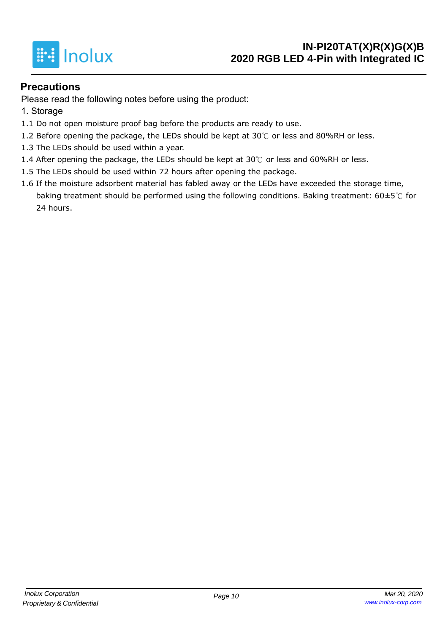

### **Precautions**

Please read the following notes before using the product:

- 1. Storage
- 1.1 Do not open moisture proof bag before the products are ready to use.
- 1.2 Before opening the package, the LEDs should be kept at  $30^{\circ}$  or less and 80%RH or less.
- 1.3 The LEDs should be used within a year.
- 1.4 After opening the package, the LEDs should be kept at 30℃ or less and 60%RH or less.
- 1.5 The LEDs should be used within 72 hours after opening the package.
- 1.6 If the moisture adsorbent material has fabled away or the LEDs have exceeded the storage time, baking treatment should be performed using the following conditions. Baking treatment: 60±5℃ for 24 hours.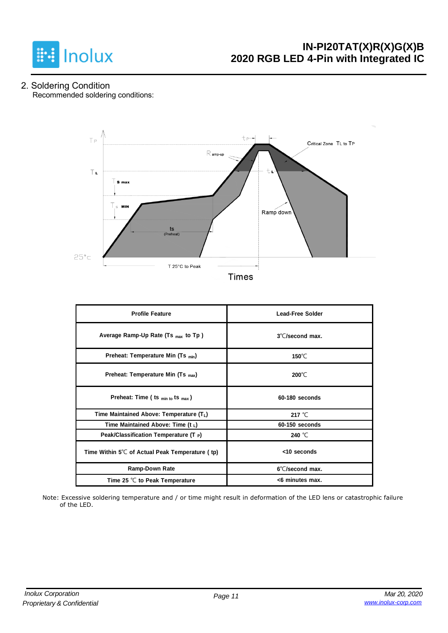

2. Soldering Condition Recommended soldering conditions:



| <b>Profile Feature</b>                          | <b>Lead-Free Solder</b>   |  |  |  |  |
|-------------------------------------------------|---------------------------|--|--|--|--|
| Average Ramp-Up Rate (Ts $_{max}$ to Tp)        | $3^{\circ}$ C/second max. |  |  |  |  |
| Preheat: Temperature Min (Ts <sub>min</sub> )   | 150 $\degree$ C           |  |  |  |  |
| Preheat: Temperature Min (Ts <sub>max</sub> )   | $200^{\circ}$ C           |  |  |  |  |
| Preheat: Time ( ts $_{min\ to}$ ts $_{max}$ )   | 60-180 seconds            |  |  |  |  |
| Time Maintained Above: Temperature $(T_L)$      | 217 $°C$                  |  |  |  |  |
| Time Maintained Above: Time $(t_1)$             | 60-150 seconds            |  |  |  |  |
| Peak/Classification Temperature (T $_{\rm P}$ ) | 240 $°C$                  |  |  |  |  |
| Time Within 5℃ of Actual Peak Temperature (tp)  | <10 seconds               |  |  |  |  |
| <b>Ramp-Down Rate</b>                           | 6°C/second max.           |  |  |  |  |
| Time 25 $\degree$ C to Peak Temperature         | <6 minutes max.           |  |  |  |  |

Note: Excessive soldering temperature and / or time might result in deformation of the LED lens or catastrophic failure of the LED.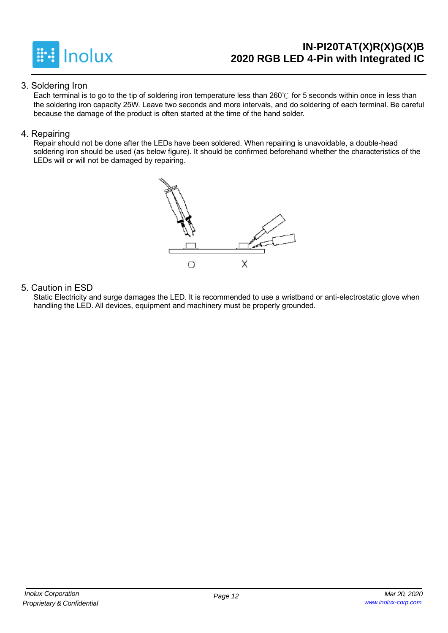

## **IN-PI20TAT(X)R(X)G(X)B 2020 RGB LED 4-Pin with Integrated IC**

### 3. Soldering Iron

Each terminal is to go to the tip of soldering iron temperature less than 260℃ for 5 seconds within once in less than the soldering iron capacity 25W. Leave two seconds and more intervals, and do soldering of each terminal. Be careful because the damage of the product is often started at the time of the hand solder.

### 4. Repairing

Repair should not be done after the LEDs have been soldered. When repairing is unavoidable, a double-head soldering iron should be used (as below figure). It should be confirmed beforehand whether the characteristics of the LEDs will or will not be damaged by repairing.



### 5. Caution in ESD

Static Electricity and surge damages the LED. It is recommended to use a wristband or anti-electrostatic glove when handling the LED. All devices, equipment and machinery must be properly grounded.